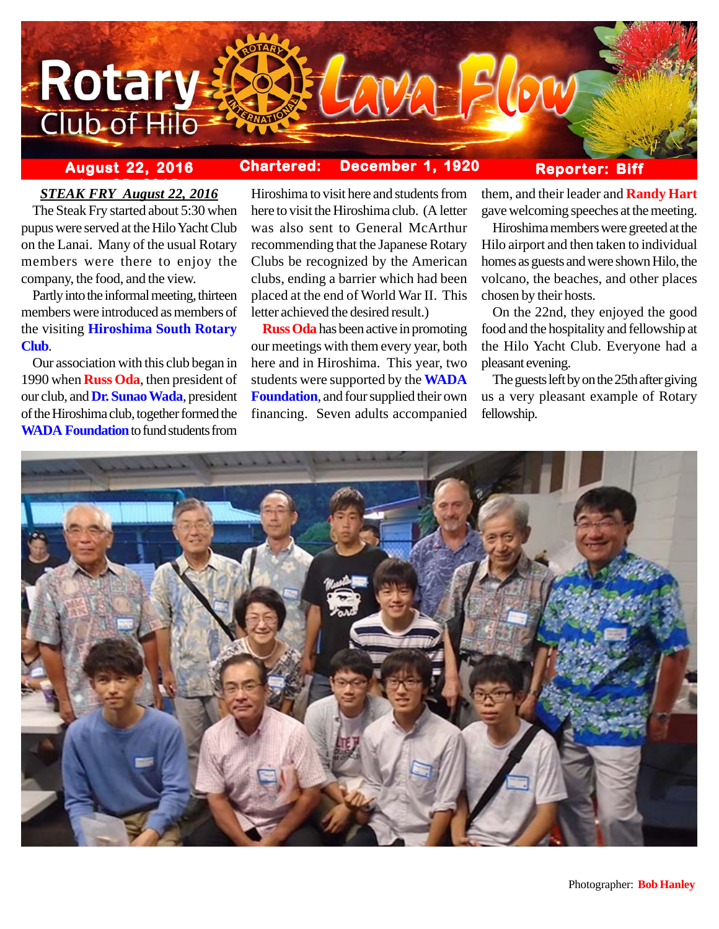

## **August 22, 2016 Chartered: December 1, 1920**

### **Reporter: Biff**

# **ber 25, 2016**<br>*STEAK FRY August 22, 2016*

The Steak Fry started about 5:30 when pupus were served at the Hilo Yacht Club on the Lanai. Many of the usual Rotary members were there to enjoy the company, the food, and the view.

Partly into the informal meeting, thirteen members were introduced as members of the visiting **Hiroshima South Rotary Club**.

Our association with this club began in 1990 when **Russ Oda**, then president of our club, and **Dr. Sunao Wada**, president of the Hiroshima club, together formed the **WADA Foundation** to fund students from

Hiroshima to visit here and students from here to visit the Hiroshima club. (A letter was also sent to General McArthur recommending that the Japanese Rotary Clubs be recognized by the American clubs, ending a barrier which had been placed at the end of World War II. This letter achieved the desired result.)

**Russ Oda** has been active in promoting our meetings with them every year, both here and in Hiroshima. This year, two students were supported by the **WADA Foundation**, and four supplied their own financing. Seven adults accompanied them, and their leader and **Randy Hart** gave welcoming speeches at the meeting.

Hiroshima members were greeted at the Hilo airport and then taken to individual homes as guests and were shown Hilo, the volcano, the beaches, and other places chosen by their hosts.

On the 22nd, they enjoyed the good food and the hospitality and fellowship at the Hilo Yacht Club. Everyone had a pleasant evening.

The guests left by on the 25th after giving us a very pleasant example of Rotary fellowship.

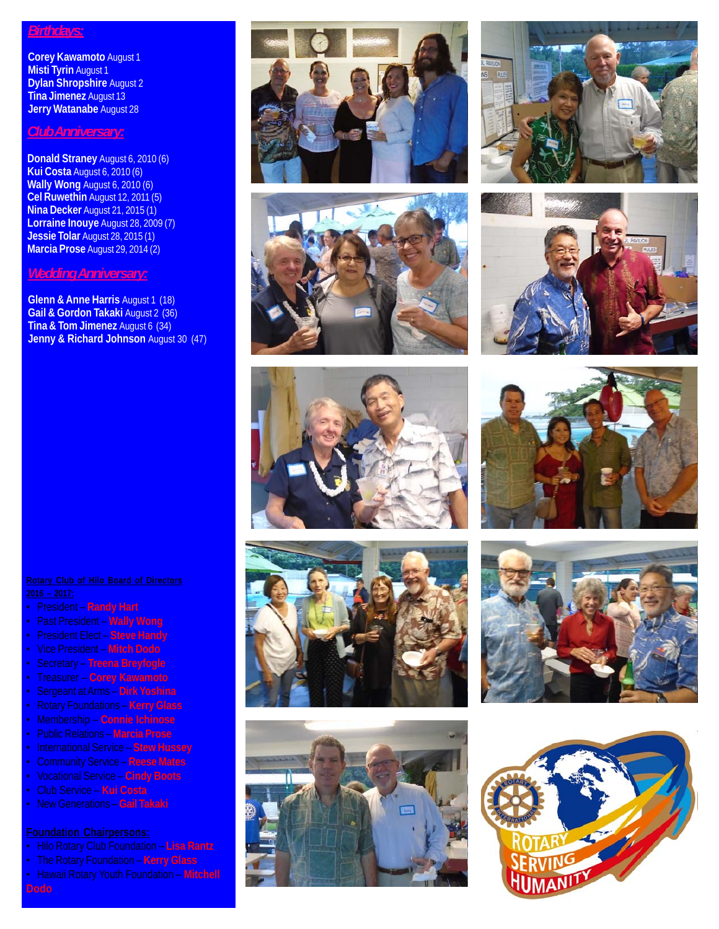#### *Birthdays:*

**Corey Kawamoto** August 1 **Misti Tyrin** August 1 **Dylan Shropshire** August 2 **Tina Jimenez** August 13 **Jerry Watanabe** August 28

#### *Club Anniversary:*

**Donald Straney** August 6, 2010 (6) **Kui Costa** August 6, 2010 (6) **Wally Wong** August 6, 2010 (6) **Cel Ruwethin** August 12, 2011 (5) **Nina Decker** August 21, 2015 (1) **Lorraine Inouye** August 28, 2009 (7) **Jessie Tolar** August 28, 2015 (1) **Marcia Prose** August 29, 2014 (2)

### *Wedding Anniversary:*

**Glenn & Anne Harris** August 1 (18) **Gail & Gordon Takaki** August 2 (36) **Tina & Tom Jimenez** August 6 (34) **Jenny & Richard Johnson** August 30 (47)





















- President **Randy Hart**
- Past President **Wally Wong**
- President Elect **Steve Handy**
- Vice President **Mitch Dodo**
- Secretary **Treena Breyfogle**
- Treasurer **Corey Kawamoto**
- Sergeant at Arms **Dirk Yoshina**
- Rotary Foundations **Kerry Glass**
- Membership **Connie Ichinose**
- Public Relations **Marcia Prose**
- International Service **Stew Hussey**
- Community Service **Reese Mates**
- Vocational Service **Cindy Boots**
- Club Service **Kui Costa**
- New Generations **Gail Takaki**

- Hilo Rotary Club Foundation **Lisa Rantz**
- 
- Hawaii Rotary Youth Foundation **Mitchell**